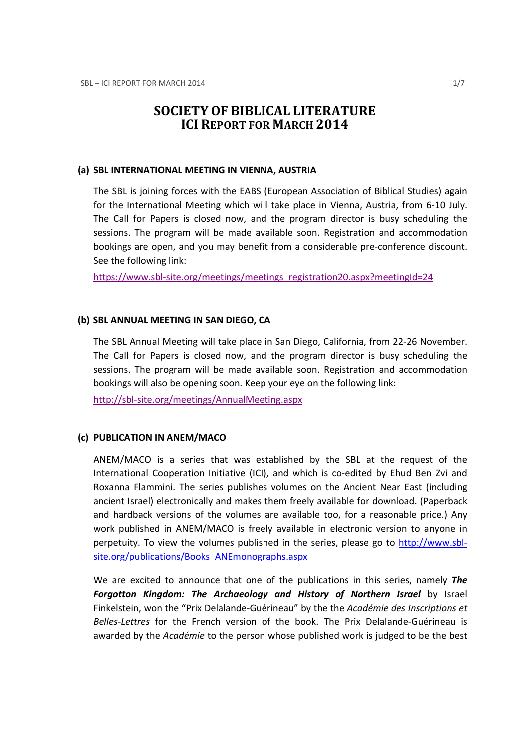# SOCIETY OF BIBLICAL LITERATURE ICI REPORT FOR MARCH 2014

#### (a) SBL INTERNATIONAL MEETING IN VIENNA, AUSTRIA

The SBL is joining forces with the EABS (European Association of Biblical Studies) again for the International Meeting which will take place in Vienna, Austria, from 6-10 July. The Call for Papers is closed now, and the program director is busy scheduling the sessions. The program will be made available soon. Registration and accommodation bookings are open, and you may benefit from a considerable pre-conference discount. See the following link:

https://www.sbl-site.org/meetings/meetings\_registration20.aspx?meetingId=24

#### (b) SBL ANNUAL MEETING IN SAN DIEGO, CA

The SBL Annual Meeting will take place in San Diego, California, from 22-26 November. The Call for Papers is closed now, and the program director is busy scheduling the sessions. The program will be made available soon. Registration and accommodation bookings will also be opening soon. Keep your eye on the following link:

http://sbl-site.org/meetings/AnnualMeeting.aspx

### (c) PUBLICATION IN ANEM/MACO

ANEM/MACO is a series that was established by the SBL at the request of the International Cooperation Initiative (ICI), and which is co-edited by Ehud Ben Zvi and Roxanna Flammini. The series publishes volumes on the Ancient Near East (including ancient Israel) electronically and makes them freely available for download. (Paperback and hardback versions of the volumes are available too, for a reasonable price.) Any work published in ANEM/MACO is freely available in electronic version to anyone in perpetuity. To view the volumes published in the series, please go to http://www.sblsite.org/publications/Books\_ANEmonographs.aspx

We are excited to announce that one of the publications in this series, namely **The** Forgotton Kingdom: The Archaeology and History of Northern Israel by Israel Finkelstein, won the "Prix Delalande-Guérineau" by the the Académie des Inscriptions et Belles-Lettres for the French version of the book. The Prix Delalande-Guérineau is awarded by the Académie to the person whose published work is judged to be the best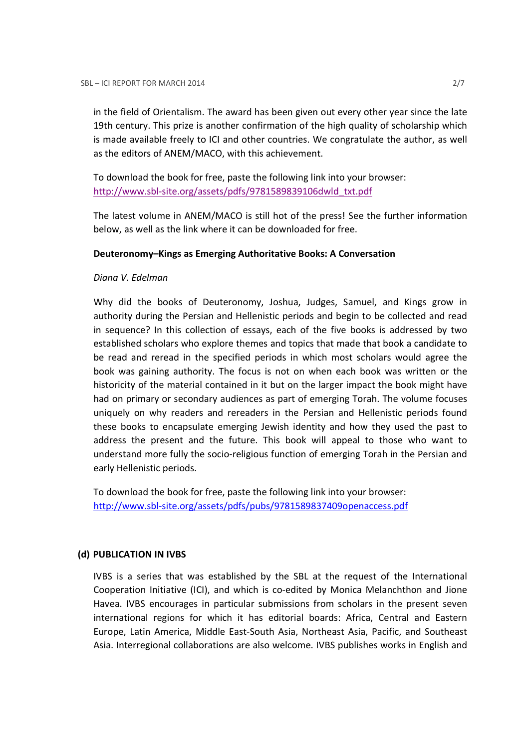in the field of Orientalism. The award has been given out every other year since the late 19th century. This prize is another confirmation of the high quality of scholarship which is made available freely to ICI and other countries. We congratulate the author, as well as the editors of ANEM/MACO, with this achievement.

To download the book for free, paste the following link into your browser: http://www.sbl-site.org/assets/pdfs/9781589839106dwld\_txt.pdf

The latest volume in ANEM/MACO is still hot of the press! See the further information below, as well as the link where it can be downloaded for free.

### Deuteronomy–Kings as Emerging Authoritative Books: A Conversation

### Diana V. Edelman

Why did the books of Deuteronomy, Joshua, Judges, Samuel, and Kings grow in authority during the Persian and Hellenistic periods and begin to be collected and read in sequence? In this collection of essays, each of the five books is addressed by two established scholars who explore themes and topics that made that book a candidate to be read and reread in the specified periods in which most scholars would agree the book was gaining authority. The focus is not on when each book was written or the historicity of the material contained in it but on the larger impact the book might have had on primary or secondary audiences as part of emerging Torah. The volume focuses uniquely on why readers and rereaders in the Persian and Hellenistic periods found these books to encapsulate emerging Jewish identity and how they used the past to address the present and the future. This book will appeal to those who want to understand more fully the socio-religious function of emerging Torah in the Persian and early Hellenistic periods.

To download the book for free, paste the following link into your browser: http://www.sbl-site.org/assets/pdfs/pubs/9781589837409openaccess.pdf

### (d) PUBLICATION IN IVBS

IVBS is a series that was established by the SBL at the request of the International Cooperation Initiative (ICI), and which is co-edited by Monica Melanchthon and Jione Havea. IVBS encourages in particular submissions from scholars in the present seven international regions for which it has editorial boards: Africa, Central and Eastern Europe, Latin America, Middle East-South Asia, Northeast Asia, Pacific, and Southeast Asia. Interregional collaborations are also welcome. IVBS publishes works in English and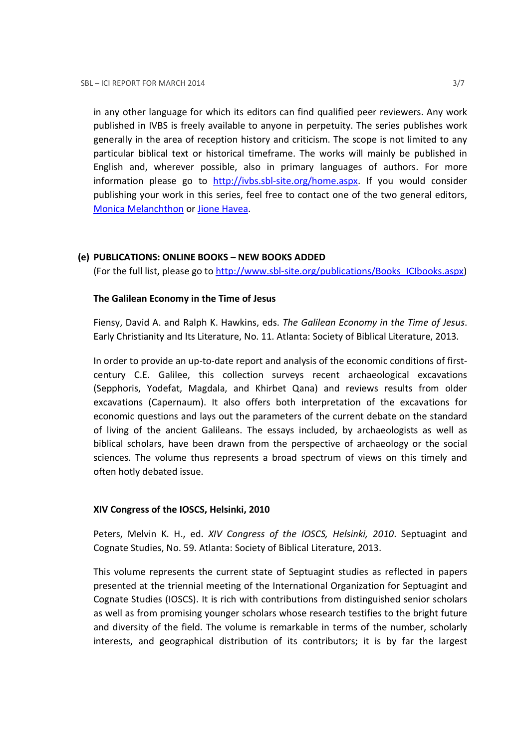in any other language for which its editors can find qualified peer reviewers. Any work published in IVBS is freely available to anyone in perpetuity. The series publishes work generally in the area of reception history and criticism. The scope is not limited to any particular biblical text or historical timeframe. The works will mainly be published in English and, wherever possible, also in primary languages of authors. For more information please go to http://ivbs.sbl-site.org/home.aspx. If you would consider publishing your work in this series, feel free to contact one of the two general editors, Monica Melanchthon or Jione Havea.

## (e) PUBLICATIONS: ONLINE BOOKS – NEW BOOKS ADDED

(For the full list, please go to http://www.sbl-site.org/publications/Books\_ICIbooks.aspx)

## The Galilean Economy in the Time of Jesus

Fiensy, David A. and Ralph K. Hawkins, eds. The Galilean Economy in the Time of Jesus. Early Christianity and Its Literature, No. 11. Atlanta: Society of Biblical Literature, 2013.

In order to provide an up-to-date report and analysis of the economic conditions of firstcentury C.E. Galilee, this collection surveys recent archaeological excavations (Sepphoris, Yodefat, Magdala, and Khirbet Qana) and reviews results from older excavations (Capernaum). It also offers both interpretation of the excavations for economic questions and lays out the parameters of the current debate on the standard of living of the ancient Galileans. The essays included, by archaeologists as well as biblical scholars, have been drawn from the perspective of archaeology or the social sciences. The volume thus represents a broad spectrum of views on this timely and often hotly debated issue.

### XIV Congress of the IOSCS, Helsinki, 2010

Peters, Melvin K. H., ed. XIV Congress of the IOSCS, Helsinki, 2010. Septuagint and Cognate Studies, No. 59. Atlanta: Society of Biblical Literature, 2013.

This volume represents the current state of Septuagint studies as reflected in papers presented at the triennial meeting of the International Organization for Septuagint and Cognate Studies (IOSCS). It is rich with contributions from distinguished senior scholars as well as from promising younger scholars whose research testifies to the bright future and diversity of the field. The volume is remarkable in terms of the number, scholarly interests, and geographical distribution of its contributors; it is by far the largest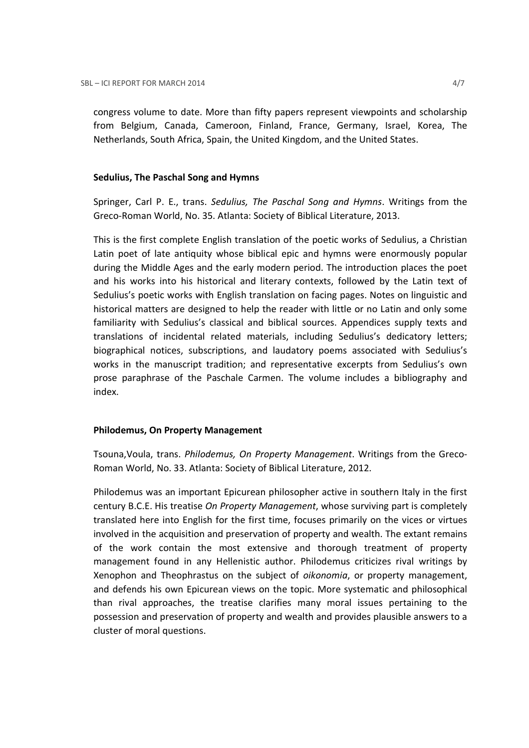congress volume to date. More than fifty papers represent viewpoints and scholarship from Belgium, Canada, Cameroon, Finland, France, Germany, Israel, Korea, The Netherlands, South Africa, Spain, the United Kingdom, and the United States.

#### Sedulius, The Paschal Song and Hymns

Springer, Carl P. E., trans. Sedulius, The Paschal Song and Hymns. Writings from the Greco-Roman World, No. 35. Atlanta: Society of Biblical Literature, 2013.

This is the first complete English translation of the poetic works of Sedulius, a Christian Latin poet of late antiquity whose biblical epic and hymns were enormously popular during the Middle Ages and the early modern period. The introduction places the poet and his works into his historical and literary contexts, followed by the Latin text of Sedulius's poetic works with English translation on facing pages. Notes on linguistic and historical matters are designed to help the reader with little or no Latin and only some familiarity with Sedulius's classical and biblical sources. Appendices supply texts and translations of incidental related materials, including Sedulius's dedicatory letters; biographical notices, subscriptions, and laudatory poems associated with Sedulius's works in the manuscript tradition; and representative excerpts from Sedulius's own prose paraphrase of the Paschale Carmen. The volume includes a bibliography and index.

#### Philodemus, On Property Management

Tsouna,Voula, trans. Philodemus, On Property Management. Writings from the Greco-Roman World, No. 33. Atlanta: Society of Biblical Literature, 2012.

Philodemus was an important Epicurean philosopher active in southern Italy in the first century B.C.E. His treatise On Property Management, whose surviving part is completely translated here into English for the first time, focuses primarily on the vices or virtues involved in the acquisition and preservation of property and wealth. The extant remains of the work contain the most extensive and thorough treatment of property management found in any Hellenistic author. Philodemus criticizes rival writings by Xenophon and Theophrastus on the subject of oikonomia, or property management, and defends his own Epicurean views on the topic. More systematic and philosophical than rival approaches, the treatise clarifies many moral issues pertaining to the possession and preservation of property and wealth and provides plausible answers to a cluster of moral questions.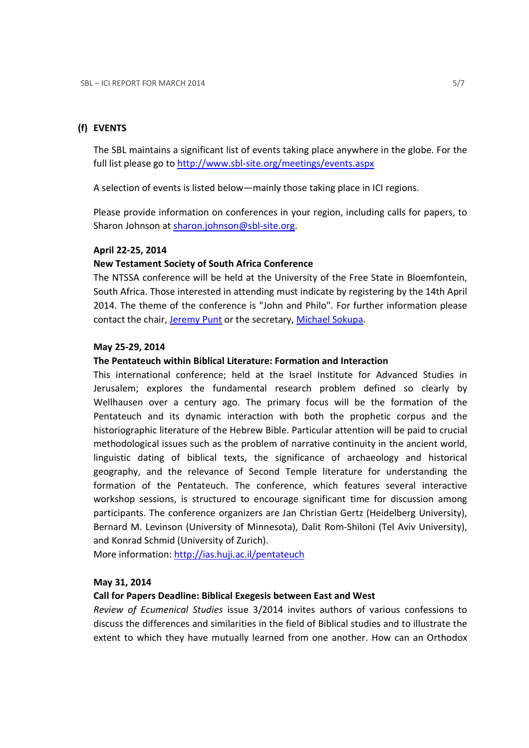## (f) EVENTS

The SBL maintains a significant list of events taking place anywhere in the globe. For the full list please go to http://www.sbl-site.org/meetings/events.aspx

A selection of events is listed below—mainly those taking place in ICI regions.

Please provide information on conferences in your region, including calls for papers, to Sharon Johnson at sharon.johnson@sbl-site.org.

### April 22-25, 2014

#### New Testament Society of South Africa Conference

The NTSSA conference will be held at the University of the Free State in Bloemfontein, South Africa. Those interested in attending must indicate by registering by the 14th April 2014. The theme of the conference is "John and Philo". For further information please contact the chair, Jeremy Punt or the secretary, Michael Sokupa.

#### May 25-29, 2014

#### The Pentateuch within Biblical Literature: Formation and Interaction

This international conference; held at the Israel Institute for Advanced Studies in Jerusalem; explores the fundamental research problem defined so clearly by Wellhausen over a century ago. The primary focus will be the formation of the Pentateuch and its dynamic interaction with both the prophetic corpus and the historiographic literature of the Hebrew Bible. Particular attention will be paid to crucial methodological issues such as the problem of narrative continuity in the ancient world, linguistic dating of biblical texts, the significance of archaeology and historical geography, and the relevance of Second Temple literature for understanding the formation of the Pentateuch. The conference, which features several interactive workshop sessions, is structured to encourage significant time for discussion among participants. The conference organizers are Jan Christian Gertz (Heidelberg University), Bernard M. Levinson (University of Minnesota), Dalit Rom-Shiloni (Tel Aviv University), and Konrad Schmid (University of Zurich).

More information: http://ias.huji.ac.il/pentateuch

#### May 31, 2014

#### Call for Papers Deadline: Biblical Exegesis between East and West

Review of Ecumenical Studies issue 3/2014 invites authors of various confessions to discuss the differences and similarities in the field of Biblical studies and to illustrate the extent to which they have mutually learned from one another. How can an Orthodox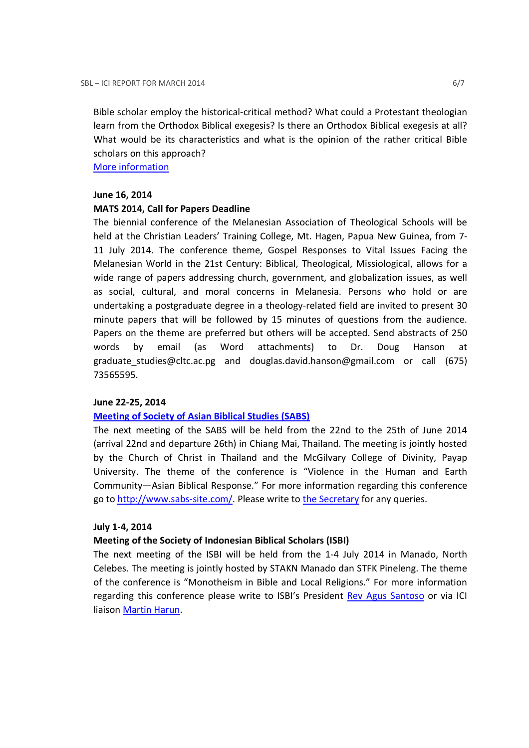Bible scholar employ the historical-critical method? What could a Protestant theologian learn from the Orthodox Biblical exegesis? Is there an Orthodox Biblical exegesis at all? What would be its characteristics and what is the opinion of the rather critical Bible scholars on this approach?

More information

## June 16, 2014

# MATS 2014, Call for Papers Deadline

The biennial conference of the Melanesian Association of Theological Schools will be held at the Christian Leaders' Training College, Mt. Hagen, Papua New Guinea, from 7- 11 July 2014. The conference theme, Gospel Responses to Vital Issues Facing the Melanesian World in the 21st Century: Biblical, Theological, Missiological, allows for a wide range of papers addressing church, government, and globalization issues, as well as social, cultural, and moral concerns in Melanesia. Persons who hold or are undertaking a postgraduate degree in a theology-related field are invited to present 30 minute papers that will be followed by 15 minutes of questions from the audience. Papers on the theme are preferred but others will be accepted. Send abstracts of 250 words by email (as Word attachments) to Dr. Doug Hanson at graduate\_studies@cltc.ac.pg and douglas.david.hanson@gmail.com or call (675) 73565595.

# June 22-25, 2014

# Meeting of Society of Asian Biblical Studies (SABS)

The next meeting of the SABS will be held from the 22nd to the 25th of June 2014 (arrival 22nd and departure 26th) in Chiang Mai, Thailand. The meeting is jointly hosted by the Church of Christ in Thailand and the McGilvary College of Divinity, Payap University. The theme of the conference is "Violence in the Human and Earth Community—Asian Biblical Response." For more information regarding this conference go to http://www.sabs-site.com/. Please write to the Secretary for any queries.

# July 1-4, 2014

# Meeting of the Society of Indonesian Biblical Scholars (ISBI)

The next meeting of the ISBI will be held from the 1-4 July 2014 in Manado, North Celebes. The meeting is jointly hosted by STAKN Manado dan STFK Pineleng. The theme of the conference is "Monotheism in Bible and Local Religions." For more information regarding this conference please write to ISBI's President Rev Agus Santoso or via ICI liaison Martin Harun.